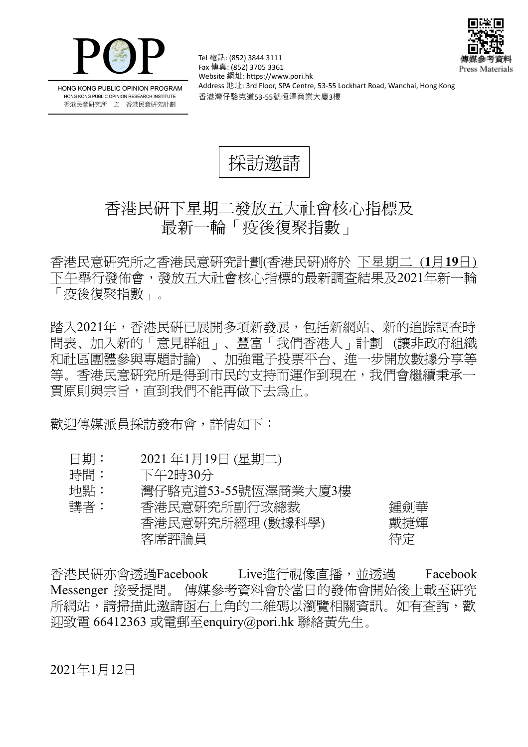



HONG KONG PUBLIC OPINION PROGRAM HONG KONG PUBLIC OPINION RESEARCH INSTITUTE 香港民意研究所 之 香港民意研究計劃

Tel 電話: (852) 3844 3111 Fax 傳真: (852) 3705 3361 Website 網址: https://www.pori.hk Address 地址: 3rd Floor, SPA Centre, 53-55 Lockhart Road, Wanchai, Hong Kong 香港灣仔駱克道53-55號恆澤商業大廈3樓

採訪激講

## 香港民研下星期二發放五大社會核心指標及 最新一輪「疫後復聚指數」

香 港 民 意 研 究 所 之 香 港 民 意 研 究 計 劃 (香 港 民 研)將 於 下星期二 (**1** 月**19** 日) 下午舉 行 發 佈 會 , 發 放 五 大 社 會 核 心 指 標 的 最 新 調 查 結 果 及 2021 年 新 一 輪 「疫後復聚指數」。

踏入2021年,香港民硏已展開多項新發展,包括新網站、新的追踪調查時 間表、加入新的「意見群組」、豐富「我們香港人」計劃 (讓非政府組織 和社區團體參與專題討論)、加強電子投票平台、進一步開放數據分享等 等。香港民意研究所是得到市民的支持而運作到現在,我們會繼續秉承一 貫原則與宗旨,直到我們不能再做下去爲止。

歡迎傳媒派員採訪發布會,詳情如下:

- 日期: 2021年1月19日 (星期二)
- 時間: 下午2時30分
- 地點: 灣仔駱克道53-55號恆澤商業大廈3樓

| 講者: | 香港民意研究所副行政總裁    | 鍾劍華 |
|-----|-----------------|-----|
|     | 香港民意研究所經理(數據科學) | 戴捷輝 |
|     | 客席評論員           | 待定  |

香港民研亦會透過Facebook Live進行視像直播,並透過 Facebook Messenger 接受提問。 傳媒參考資料會於當日的發佈會開始後上載至研究 所網站,請掃描此邀請函右上角的二維碼以瀏覽相關資訊。如有查詢,歡  $\overline{\psi}$ 致雷 66412363 或雷郵至enquiry@pori.hk 聯絡黃先生。

2021年1月12日